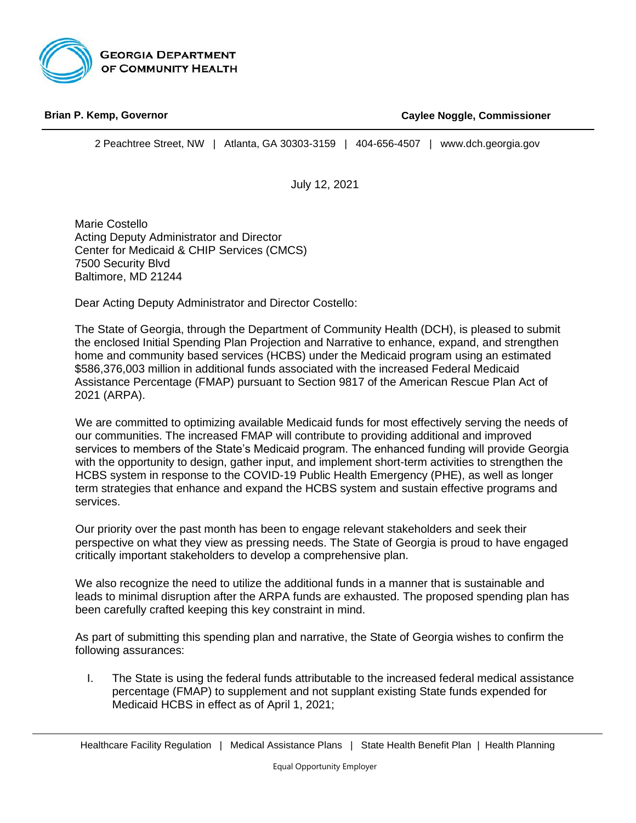

#### B **Brian P. Kemp, Governor** *Commissioner*

**Caylee Noggle, Commissioner**

*Commissioner*

2 Peachtree Street, NW | Atlanta, GA 30303-3159 | 404-656-4507 | [www.dch.georgia.gov](http://www.dch.georgia.gov/)

July 12, 2021

Marie Costello Acting Deputy Administrator and Director Center for Medicaid & CHIP Services (CMCS) 7500 Security Blvd Baltimore, MD 21244

Dear Acting Deputy Administrator and Director Costello:

The State of Georgia, through the Department of Community Health (DCH), is pleased to submit the enclosed Initial Spending Plan Projection and Narrative to enhance, expand, and strengthen home and community based services (HCBS) under the Medicaid program using an estimated \$586,376,003 million in additional funds associated with the increased Federal Medicaid Assistance Percentage (FMAP) pursuant to Section 9817 of the American Rescue Plan Act of 2021 (ARPA).

We are committed to optimizing available Medicaid funds for most effectively serving the needs of our communities. The increased FMAP will contribute to providing additional and improved services to members of the State's Medicaid program. The enhanced funding will provide Georgia with the opportunity to design, gather input, and implement short-term activities to strengthen the HCBS system in response to the COVID-19 Public Health Emergency (PHE), as well as longer term strategies that enhance and expand the HCBS system and sustain effective programs and services.

Our priority over the past month has been to engage relevant stakeholders and seek their perspective on what they view as pressing needs. The State of Georgia is proud to have engaged critically important stakeholders to develop a comprehensive plan.

We also recognize the need to utilize the additional funds in a manner that is sustainable and leads to minimal disruption after the ARPA funds are exhausted. The proposed spending plan has been carefully crafted keeping this key constraint in mind.

As part of submitting this spending plan and narrative, the State of Georgia wishes to confirm the following assurances:

I. The State is using the federal funds attributable to the increased federal medical assistance percentage (FMAP) to supplement and not supplant existing State funds expended for Medicaid HCBS in effect as of April 1, 2021;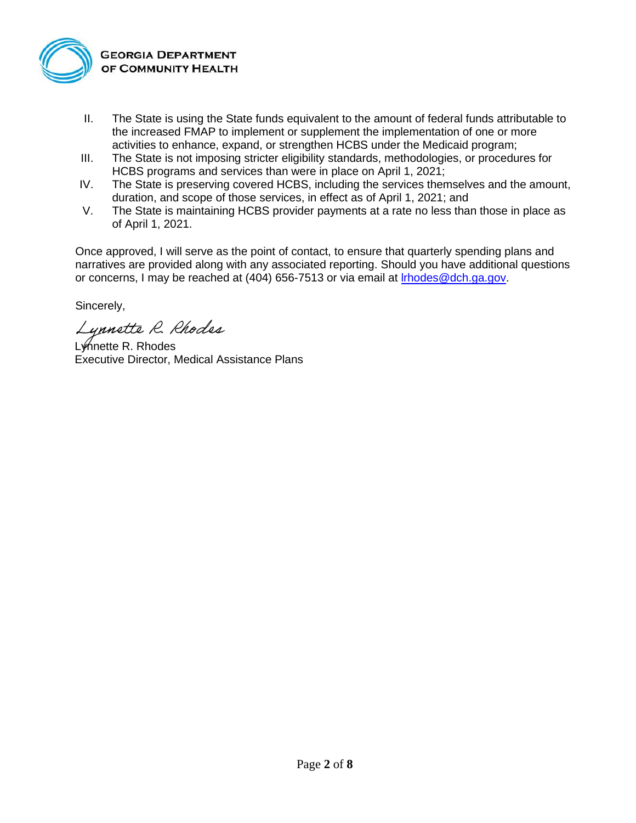

- II. The State is using the State funds equivalent to the amount of federal funds attributable to the increased FMAP to implement or supplement the implementation of one or more activities to enhance, expand, or strengthen HCBS under the Medicaid program;
- III. The State is not imposing stricter eligibility standards, methodologies, or procedures for HCBS programs and services than were in place on April 1, 2021;
- IV. The State is preserving covered HCBS, including the services themselves and the amount, duration, and scope of those services, in effect as of April 1, 2021; and
- V. The State is maintaining HCBS provider payments at a rate no less than those in place as of April 1, 2021.

Once approved, I will serve as the point of contact, to ensure that quarterly spending plans and narratives are provided along with any associated reporting. Should you have additional questions or concerns, I may be reached at (404) 656-7513 or via email at *Irhodes@dch.ga.gov*.

Sincerely,

Lynnette R. Rhodes

Lynette R. Rhodes Executive Director, Medical Assistance Plans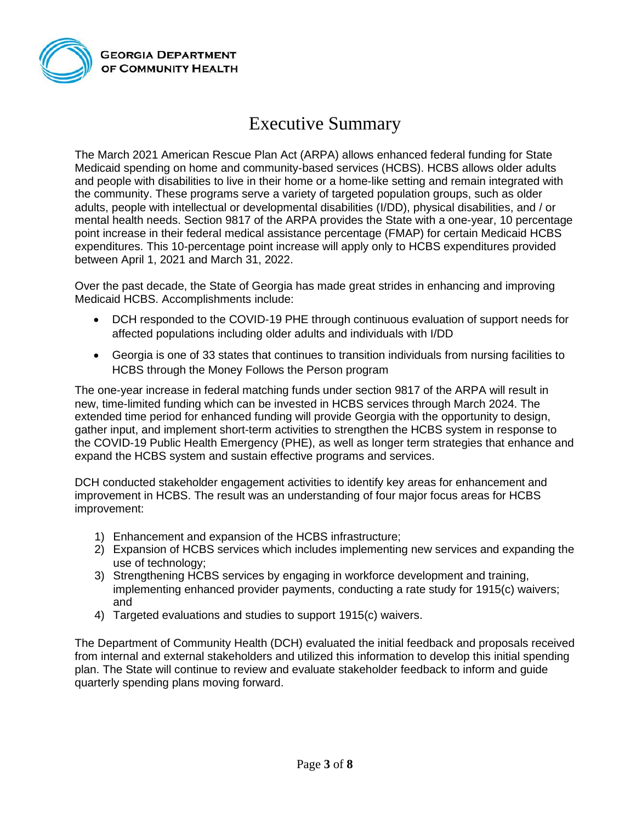

## Executive Summary

The March 2021 American Rescue Plan Act (ARPA) allows enhanced federal funding for State Medicaid spending on home and community-based services (HCBS). HCBS allows older adults and people with disabilities to live in their home or a home-like setting and remain integrated with the community. These programs serve a variety of targeted population groups, such as older adults, people with intellectual or developmental disabilities (I/DD), physical disabilities, and / or mental health needs. Section 9817 of the ARPA provides the State with a one-year, 10 percentage point increase in their federal medical assistance percentage (FMAP) for certain Medicaid HCBS expenditures. This 10-percentage point increase will apply only to HCBS expenditures provided between April 1, 2021 and March 31, 2022.

Over the past decade, the State of Georgia has made great strides in enhancing and improving Medicaid HCBS. Accomplishments include:

- DCH responded to the COVID-19 PHE through continuous evaluation of support needs for affected populations including older adults and individuals with I/DD
- Georgia is one of 33 states that continues to transition individuals from nursing facilities to HCBS through the Money Follows the Person program

The one-year increase in federal matching funds under section 9817 of the ARPA will result in new, time-limited funding which can be invested in HCBS services through March 2024. The extended time period for enhanced funding will provide Georgia with the opportunity to design, gather input, and implement short-term activities to strengthen the HCBS system in response to the COVID-19 Public Health Emergency (PHE), as well as longer term strategies that enhance and expand the HCBS system and sustain effective programs and services.

DCH conducted stakeholder engagement activities to identify key areas for enhancement and improvement in HCBS. The result was an understanding of four major focus areas for HCBS improvement:

- 1) Enhancement and expansion of the HCBS infrastructure;
- 2) Expansion of HCBS services which includes implementing new services and expanding the use of technology;
- 3) Strengthening HCBS services by engaging in workforce development and training, implementing enhanced provider payments, conducting a rate study for 1915(c) waivers; and
- 4) Targeted evaluations and studies to support 1915(c) waivers.

The Department of Community Health (DCH) evaluated the initial feedback and proposals received from internal and external stakeholders and utilized this information to develop this initial spending plan. The State will continue to review and evaluate stakeholder feedback to inform and guide quarterly spending plans moving forward.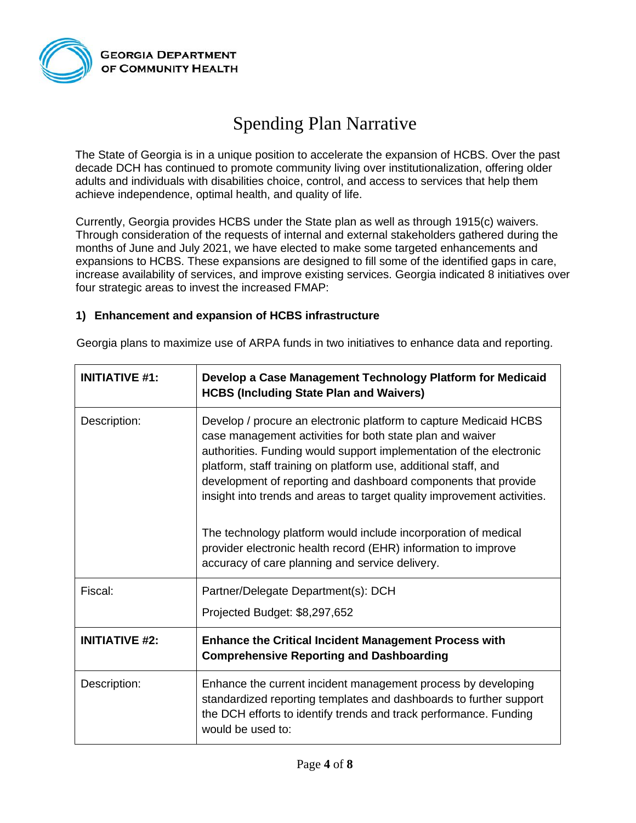

# Spending Plan Narrative

The State of Georgia is in a unique position to accelerate the expansion of HCBS. Over the past decade DCH has continued to promote community living over institutionalization, offering older adults and individuals with disabilities choice, control, and access to services that help them achieve independence, optimal health, and quality of life.

Currently, Georgia provides HCBS under the State plan as well as through 1915(c) waivers. Through consideration of the requests of internal and external stakeholders gathered during the months of June and July 2021, we have elected to make some targeted enhancements and expansions to HCBS. These expansions are designed to fill some of the identified gaps in care, increase availability of services, and improve existing services. Georgia indicated 8 initiatives over four strategic areas to invest the increased FMAP:

#### **1) Enhancement and expansion of HCBS infrastructure**

| <b>INITIATIVE #1:</b> | Develop a Case Management Technology Platform for Medicaid<br><b>HCBS (Including State Plan and Waivers)</b>                                                                                                                                                                                                                                                                                                                                                                                                                                                                                                 |
|-----------------------|--------------------------------------------------------------------------------------------------------------------------------------------------------------------------------------------------------------------------------------------------------------------------------------------------------------------------------------------------------------------------------------------------------------------------------------------------------------------------------------------------------------------------------------------------------------------------------------------------------------|
| Description:          | Develop / procure an electronic platform to capture Medicaid HCBS<br>case management activities for both state plan and waiver<br>authorities. Funding would support implementation of the electronic<br>platform, staff training on platform use, additional staff, and<br>development of reporting and dashboard components that provide<br>insight into trends and areas to target quality improvement activities.<br>The technology platform would include incorporation of medical<br>provider electronic health record (EHR) information to improve<br>accuracy of care planning and service delivery. |
| Fiscal:               | Partner/Delegate Department(s): DCH                                                                                                                                                                                                                                                                                                                                                                                                                                                                                                                                                                          |
|                       | Projected Budget: \$8,297,652                                                                                                                                                                                                                                                                                                                                                                                                                                                                                                                                                                                |
| <b>INITIATIVE #2:</b> | <b>Enhance the Critical Incident Management Process with</b><br><b>Comprehensive Reporting and Dashboarding</b>                                                                                                                                                                                                                                                                                                                                                                                                                                                                                              |
| Description:          | Enhance the current incident management process by developing<br>standardized reporting templates and dashboards to further support<br>the DCH efforts to identify trends and track performance. Funding<br>would be used to:                                                                                                                                                                                                                                                                                                                                                                                |

Georgia plans to maximize use of ARPA funds in two initiatives to enhance data and reporting.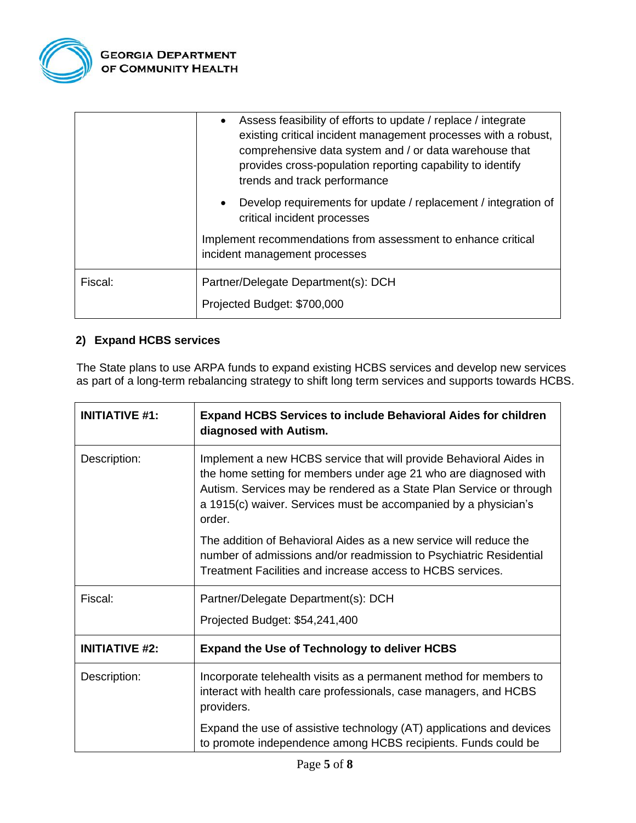

|         | Assess feasibility of efforts to update / replace / integrate<br>existing critical incident management processes with a robust,<br>comprehensive data system and / or data warehouse that<br>provides cross-population reporting capability to identify<br>trends and track performance |
|---------|-----------------------------------------------------------------------------------------------------------------------------------------------------------------------------------------------------------------------------------------------------------------------------------------|
|         | Develop requirements for update / replacement / integration of<br>critical incident processes                                                                                                                                                                                           |
|         | Implement recommendations from assessment to enhance critical<br>incident management processes                                                                                                                                                                                          |
| Fiscal: | Partner/Delegate Department(s): DCH<br>Projected Budget: \$700,000                                                                                                                                                                                                                      |

### **2) Expand HCBS services**

The State plans to use ARPA funds to expand existing HCBS services and develop new services as part of a long-term rebalancing strategy to shift long term services and supports towards HCBS.

| <b>INITIATIVE #1:</b> | <b>Expand HCBS Services to include Behavioral Aides for children</b><br>diagnosed with Autism.                                                                                                                                                                                             |
|-----------------------|--------------------------------------------------------------------------------------------------------------------------------------------------------------------------------------------------------------------------------------------------------------------------------------------|
| Description:          | Implement a new HCBS service that will provide Behavioral Aides in<br>the home setting for members under age 21 who are diagnosed with<br>Autism. Services may be rendered as a State Plan Service or through<br>a 1915(c) waiver. Services must be accompanied by a physician's<br>order. |
|                       | The addition of Behavioral Aides as a new service will reduce the<br>number of admissions and/or readmission to Psychiatric Residential<br>Treatment Facilities and increase access to HCBS services.                                                                                      |
| Fiscal:               | Partner/Delegate Department(s): DCH                                                                                                                                                                                                                                                        |
|                       | Projected Budget: \$54,241,400                                                                                                                                                                                                                                                             |
| <b>INITIATIVE #2:</b> | <b>Expand the Use of Technology to deliver HCBS</b>                                                                                                                                                                                                                                        |
| Description:          | Incorporate telehealth visits as a permanent method for members to<br>interact with health care professionals, case managers, and HCBS<br>providers.                                                                                                                                       |
|                       | Expand the use of assistive technology (AT) applications and devices<br>to promote independence among HCBS recipients. Funds could be                                                                                                                                                      |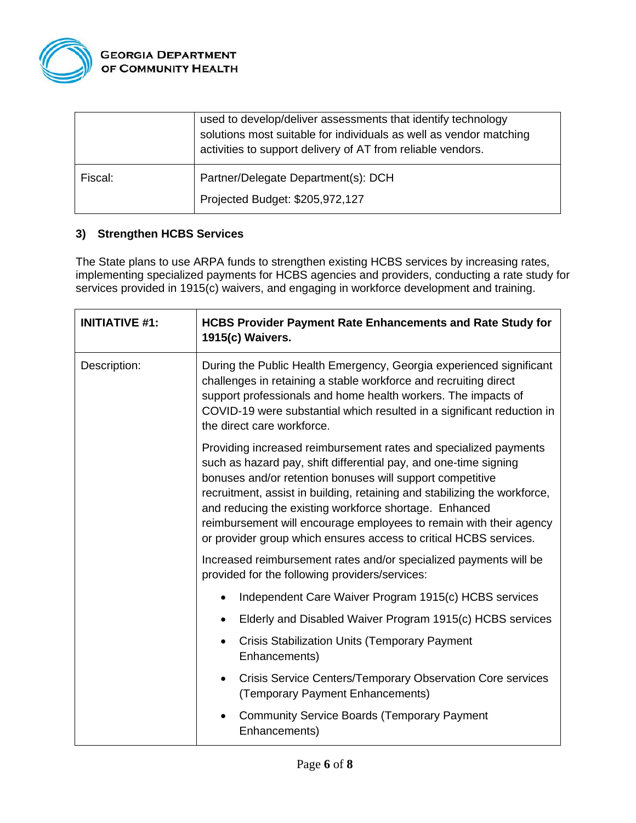

|         | used to develop/deliver assessments that identify technology<br>solutions most suitable for individuals as well as vendor matching<br>activities to support delivery of AT from reliable vendors. |
|---------|---------------------------------------------------------------------------------------------------------------------------------------------------------------------------------------------------|
| Fiscal: | Partner/Delegate Department(s): DCH<br>Projected Budget: \$205,972,127                                                                                                                            |
|         |                                                                                                                                                                                                   |

#### **3) Strengthen HCBS Services**

The State plans to use ARPA funds to strengthen existing HCBS services by increasing rates, implementing specialized payments for HCBS agencies and providers, conducting a rate study for services provided in 1915(c) waivers, and engaging in workforce development and training.

| <b>INITIATIVE #1:</b> | <b>HCBS Provider Payment Rate Enhancements and Rate Study for</b><br>1915(c) Waivers.                                                                                                                                                                                                                                                                                                                                                                                               |
|-----------------------|-------------------------------------------------------------------------------------------------------------------------------------------------------------------------------------------------------------------------------------------------------------------------------------------------------------------------------------------------------------------------------------------------------------------------------------------------------------------------------------|
| Description:          | During the Public Health Emergency, Georgia experienced significant<br>challenges in retaining a stable workforce and recruiting direct<br>support professionals and home health workers. The impacts of<br>COVID-19 were substantial which resulted in a significant reduction in<br>the direct care workforce.                                                                                                                                                                    |
|                       | Providing increased reimbursement rates and specialized payments<br>such as hazard pay, shift differential pay, and one-time signing<br>bonuses and/or retention bonuses will support competitive<br>recruitment, assist in building, retaining and stabilizing the workforce,<br>and reducing the existing workforce shortage. Enhanced<br>reimbursement will encourage employees to remain with their agency<br>or provider group which ensures access to critical HCBS services. |
|                       | Increased reimbursement rates and/or specialized payments will be<br>provided for the following providers/services:                                                                                                                                                                                                                                                                                                                                                                 |
|                       | Independent Care Waiver Program 1915(c) HCBS services                                                                                                                                                                                                                                                                                                                                                                                                                               |
|                       | Elderly and Disabled Waiver Program 1915(c) HCBS services                                                                                                                                                                                                                                                                                                                                                                                                                           |
|                       | <b>Crisis Stabilization Units (Temporary Payment</b><br>Enhancements)                                                                                                                                                                                                                                                                                                                                                                                                               |
|                       | Crisis Service Centers/Temporary Observation Core services<br>$\bullet$<br>(Temporary Payment Enhancements)                                                                                                                                                                                                                                                                                                                                                                         |
|                       | <b>Community Service Boards (Temporary Payment</b><br>Enhancements)                                                                                                                                                                                                                                                                                                                                                                                                                 |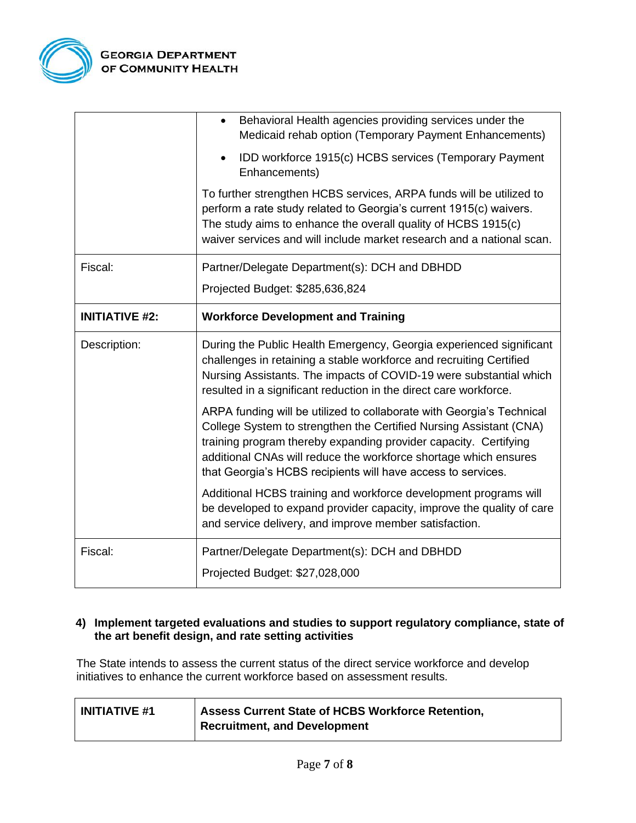

|                       | Behavioral Health agencies providing services under the<br>Medicaid rehab option (Temporary Payment Enhancements)                                                                                                                                                                                                                                   |
|-----------------------|-----------------------------------------------------------------------------------------------------------------------------------------------------------------------------------------------------------------------------------------------------------------------------------------------------------------------------------------------------|
|                       | IDD workforce 1915(c) HCBS services (Temporary Payment<br>Enhancements)                                                                                                                                                                                                                                                                             |
|                       | To further strengthen HCBS services, ARPA funds will be utilized to<br>perform a rate study related to Georgia's current 1915(c) waivers.<br>The study aims to enhance the overall quality of HCBS 1915(c)<br>waiver services and will include market research and a national scan.                                                                 |
| Fiscal:               | Partner/Delegate Department(s): DCH and DBHDD                                                                                                                                                                                                                                                                                                       |
|                       | Projected Budget: \$285,636,824                                                                                                                                                                                                                                                                                                                     |
| <b>INITIATIVE #2:</b> | <b>Workforce Development and Training</b>                                                                                                                                                                                                                                                                                                           |
| Description:          | During the Public Health Emergency, Georgia experienced significant                                                                                                                                                                                                                                                                                 |
|                       | challenges in retaining a stable workforce and recruiting Certified<br>Nursing Assistants. The impacts of COVID-19 were substantial which<br>resulted in a significant reduction in the direct care workforce.                                                                                                                                      |
|                       | ARPA funding will be utilized to collaborate with Georgia's Technical<br>College System to strengthen the Certified Nursing Assistant (CNA)<br>training program thereby expanding provider capacity. Certifying<br>additional CNAs will reduce the workforce shortage which ensures<br>that Georgia's HCBS recipients will have access to services. |
|                       | Additional HCBS training and workforce development programs will<br>be developed to expand provider capacity, improve the quality of care<br>and service delivery, and improve member satisfaction.                                                                                                                                                 |
| Fiscal:               | Partner/Delegate Department(s): DCH and DBHDD                                                                                                                                                                                                                                                                                                       |

#### **4) Implement targeted evaluations and studies to support regulatory compliance, state of the art benefit design, and rate setting activities**

The State intends to assess the current status of the direct service workforce and develop initiatives to enhance the current workforce based on assessment results.

| <b>INITIATIVE #1</b> | Assess Current State of HCBS Workforce Retention, |
|----------------------|---------------------------------------------------|
|                      | Recruitment, and Development                      |